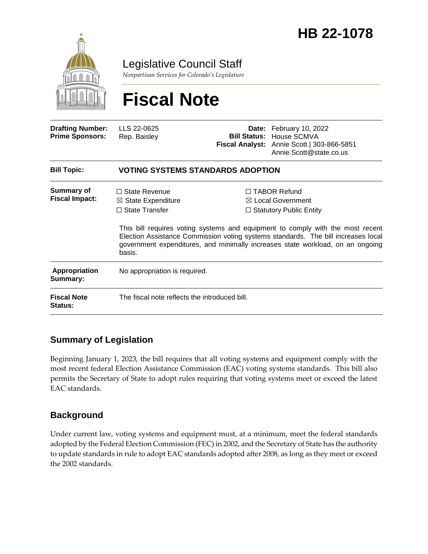

Legislative Council Staff

*Nonpartisan Services for Colorado's Legislature*

# **Fiscal Note**

| <b>Drafting Number:</b><br><b>Prime Sponsors:</b> | LLS 22-0625<br>Rep. Baisley                                                              |  | Date: February 10, 2022<br><b>Bill Status: House SCMVA</b><br>Fiscal Analyst: Annie Scott   303-866-5851<br>Annie.Scott@state.co.us                                                                                                                                                                                                            |  |
|---------------------------------------------------|------------------------------------------------------------------------------------------|--|------------------------------------------------------------------------------------------------------------------------------------------------------------------------------------------------------------------------------------------------------------------------------------------------------------------------------------------------|--|
| <b>Bill Topic:</b>                                | <b>VOTING SYSTEMS STANDARDS ADOPTION</b>                                                 |  |                                                                                                                                                                                                                                                                                                                                                |  |
| <b>Summary of</b><br><b>Fiscal Impact:</b>        | $\Box$ State Revenue<br>$\boxtimes$ State Expenditure<br>$\Box$ State Transfer<br>basis. |  | $\Box$ TABOR Refund<br>$\boxtimes$ Local Government<br>$\Box$ Statutory Public Entity<br>This bill requires voting systems and equipment to comply with the most recent<br>Election Assistance Commission voting systems standards. The bill increases local<br>government expenditures, and minimally increases state workload, on an ongoing |  |
| Appropriation<br>Summary:                         | No appropriation is required.                                                            |  |                                                                                                                                                                                                                                                                                                                                                |  |
| <b>Fiscal Note</b><br>Status:                     | The fiscal note reflects the introduced bill.                                            |  |                                                                                                                                                                                                                                                                                                                                                |  |

## **Summary of Legislation**

Beginning January 1, 2023, the bill requires that all voting systems and equipment comply with the most recent federal Election Assistance Commission (EAC) voting systems standards. This bill also permits the Secretary of State to adopt rules requiring that voting systems meet or exceed the latest EAC standards.

#### **Background**

Under current law, voting systems and equipment must, at a minimum, meet the federal standards adopted by the Federal Election Commission (FEC) in 2002, and the Secretary of State has the authority to update standards in rule to adopt EAC standards adopted after 2008, as long as they meet or exceed the 2002 standards.